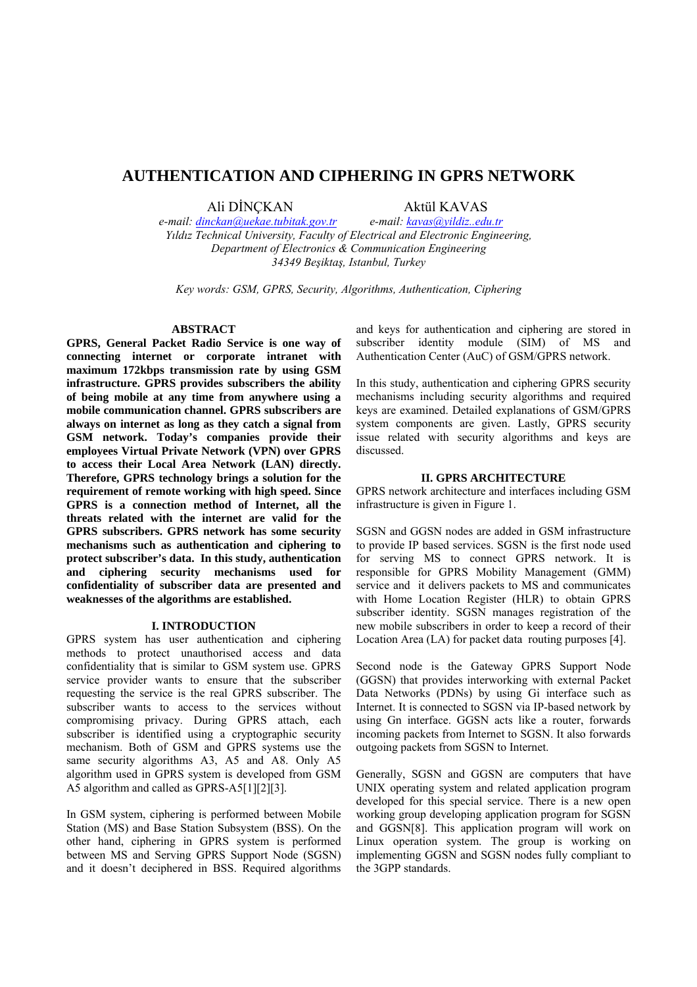# **AUTHENTICATION AND CIPHERING IN GPRS NETWORK**

Ali DİNÇKAN Aktül KAVAS

*e-mail: dinckan@uekae.tubitak.gov.tr e-mail: kavas@yildiz..edu.tr Yıldız Technical University, Faculty of Electrical and Electronic Engineering, Department of Electronics & Communication Engineering 34349 Beşiktaş, Istanbul, Turkey* 

*Key words: GSM, GPRS, Security, Algorithms, Authentication, Ciphering* 

#### **ABSTRACT**

**GPRS, General Packet Radio Service is one way of connecting internet or corporate intranet with maximum 172kbps transmission rate by using GSM infrastructure. GPRS provides subscribers the ability of being mobile at any time from anywhere using a mobile communication channel. GPRS subscribers are always on internet as long as they catch a signal from GSM network. Today's companies provide their employees Virtual Private Network (VPN) over GPRS to access their Local Area Network (LAN) directly. Therefore, GPRS technology brings a solution for the requirement of remote working with high speed. Since GPRS is a connection method of Internet, all the threats related with the internet are valid for the GPRS subscribers. GPRS network has some security mechanisms such as authentication and ciphering to protect subscriber's data. In this study, authentication and ciphering security mechanisms used for confidentiality of subscriber data are presented and weaknesses of the algorithms are established.** 

### **I. INTRODUCTION**

GPRS system has user authentication and ciphering methods to protect unauthorised access and data confidentiality that is similar to GSM system use. GPRS service provider wants to ensure that the subscriber requesting the service is the real GPRS subscriber. The subscriber wants to access to the services without compromising privacy. During GPRS attach, each subscriber is identified using a cryptographic security mechanism. Both of GSM and GPRS systems use the same security algorithms A3, A5 and A8. Only A5 algorithm used in GPRS system is developed from GSM A5 algorithm and called as GPRS-A5[1][2][3].

In GSM system, ciphering is performed between Mobile Station (MS) and Base Station Subsystem (BSS). On the other hand, ciphering in GPRS system is performed between MS and Serving GPRS Support Node (SGSN) and it doesn't deciphered in BSS. Required algorithms

and keys for authentication and ciphering are stored in subscriber identity module (SIM) of MS and Authentication Center (AuC) of GSM/GPRS network.

In this study, authentication and ciphering GPRS security mechanisms including security algorithms and required keys are examined. Detailed explanations of GSM/GPRS system components are given. Lastly, GPRS security issue related with security algorithms and keys are discussed.

### **II. GPRS ARCHITECTURE**

GPRS network architecture and interfaces including GSM infrastructure is given in Figure 1.

SGSN and GGSN nodes are added in GSM infrastructure to provide IP based services. SGSN is the first node used for serving MS to connect GPRS network. It is responsible for GPRS Mobility Management (GMM) service and it delivers packets to MS and communicates with Home Location Register (HLR) to obtain GPRS subscriber identity. SGSN manages registration of the new mobile subscribers in order to keep a record of their Location Area (LA) for packet data routing purposes [4].

Second node is the Gateway GPRS Support Node (GGSN) that provides interworking with external Packet Data Networks (PDNs) by using Gi interface such as Internet. It is connected to SGSN via IP-based network by using Gn interface. GGSN acts like a router, forwards incoming packets from Internet to SGSN. It also forwards outgoing packets from SGSN to Internet.

Generally, SGSN and GGSN are computers that have UNIX operating system and related application program developed for this special service. There is a new open working group developing application program for SGSN and GGSN[8]. This application program will work on Linux operation system. The group is working on implementing GGSN and SGSN nodes fully compliant to the 3GPP standards.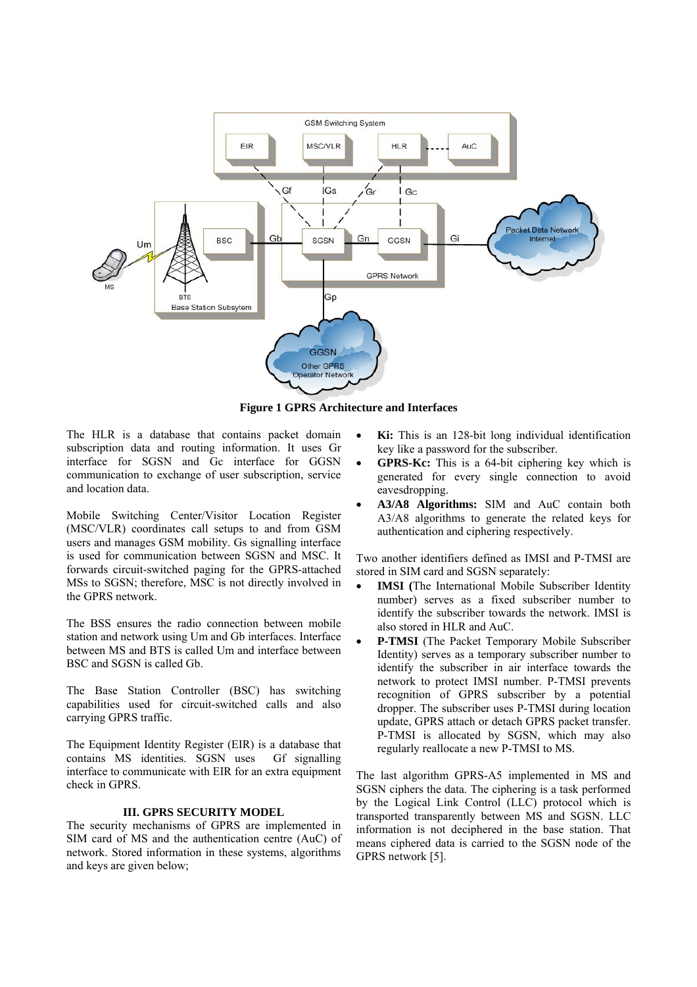

**Figure 1 GPRS Architecture and Interfaces** 

The HLR is a database that contains packet domain subscription data and routing information. It uses Gr interface for SGSN and Gc interface for GGSN communication to exchange of user subscription, service and location data.

Mobile Switching Center/Visitor Location Register (MSC/VLR) coordinates call setups to and from GSM users and manages GSM mobility. Gs signalling interface is used for communication between SGSN and MSC. It forwards circuit-switched paging for the GPRS-attached MSs to SGSN; therefore, MSC is not directly involved in the GPRS network.

The BSS ensures the radio connection between mobile station and network using Um and Gb interfaces. Interface between MS and BTS is called Um and interface between BSC and SGSN is called Gb.

The Base Station Controller (BSC) has switching capabilities used for circuit-switched calls and also carrying GPRS traffic.

The Equipment Identity Register (EIR) is a database that contains MS identities. SGSN uses Gf signalling interface to communicate with EIR for an extra equipment check in GPRS.

## **III. GPRS SECURITY MODEL**

The security mechanisms of GPRS are implemented in SIM card of MS and the authentication centre (AuC) of network. Stored information in these systems, algorithms and keys are given below;

- **Ki:** This is an 128-bit long individual identification key like a password for the subscriber.
- **GPRS-Kc:** This is a 64-bit ciphering key which is generated for every single connection to avoid eavesdropping.
- **A3/A8 Algorithms:** SIM and AuC contain both A3/A8 algorithms to generate the related keys for authentication and ciphering respectively.

Two another identifiers defined as IMSI and P-TMSI are stored in SIM card and SGSN separately:

- **IMSI (**The International Mobile Subscriber Identity number) serves as a fixed subscriber number to identify the subscriber towards the network. IMSI is also stored in HLR and AuC.
- **P-TMSI** (The Packet Temporary Mobile Subscriber Identity) serves as a temporary subscriber number to identify the subscriber in air interface towards the network to protect IMSI number. P-TMSI prevents recognition of GPRS subscriber by a potential dropper. The subscriber uses P-TMSI during location update, GPRS attach or detach GPRS packet transfer. P-TMSI is allocated by SGSN, which may also regularly reallocate a new P-TMSI to MS.

The last algorithm GPRS-A5 implemented in MS and SGSN ciphers the data. The ciphering is a task performed by the Logical Link Control (LLC) protocol which is transported transparently between MS and SGSN. LLC information is not deciphered in the base station. That means ciphered data is carried to the SGSN node of the GPRS network [5].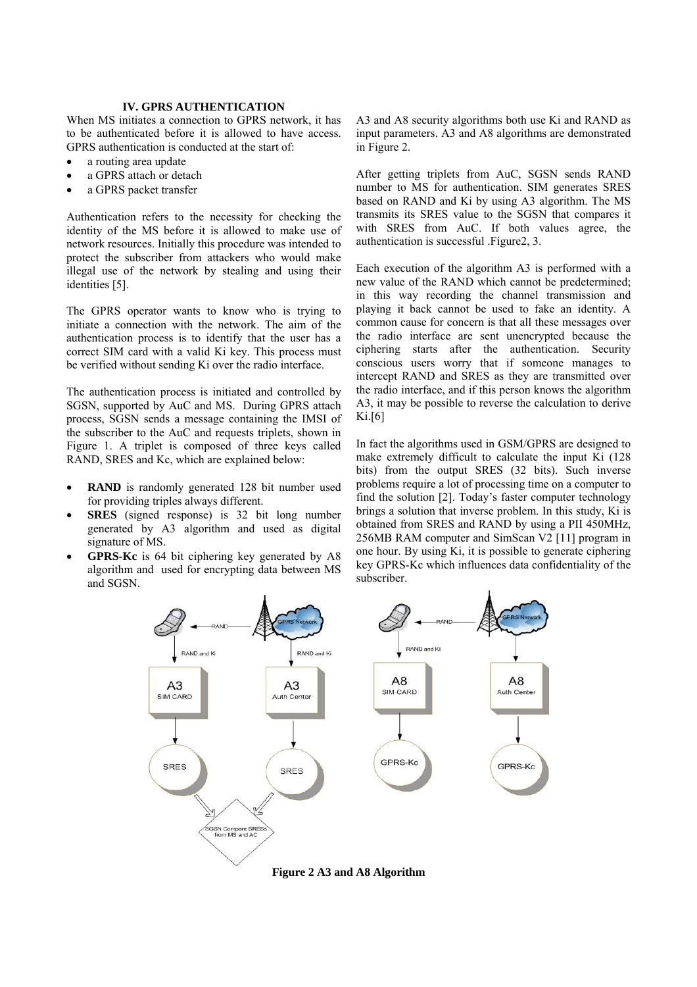### **IV. GPRS AUTHENTICATION**

When MS initiates a connection to GPRS network, it has to be authenticated before it is allowed to have access. GPRS authentication is conducted at the start of:

- a routing area update
- a GPRS attach or detach
- a GPRS packet transfer

Authentication refers to the necessity for checking the identity of the MS before it is allowed to make use of network resources. Initially this procedure was intended to protect the subscriber from attackers who would make illegal use of the network by stealing and using their identities [5].

The GPRS operator wants to know who is trying to initiate a connection with the network. The aim of the authentication process is to identify that the user has a correct SIM card with a valid Ki key. This process must be verified without sending Ki over the radio interface.

The authentication process is initiated and controlled by SGSN, supported by AuC and MS. During GPRS attach process, SGSN sends a message containing the IMSI of the subscriber to the AuC and requests triplets, shown in Figure 1. A triplet is composed of three keys called RAND, SRES and Kc, which are explained below:

- **RAND** is randomly generated 128 bit number used for providing triples always different.
- **SRES** (signed response) is 32 bit long number generated by A3 algorithm and used as digital signature of MS.
- **GPRS-Kc** is 64 bit ciphering key generated by A8 algorithm and used for encrypting data between MS and SGSN.

A3 and A8 security algorithms both use Ki and RAND as input parameters. A3 and A8 algorithms are demonstrated in Figure 2.

After getting triplets from AuC, SGSN sends RAND number to MS for authentication. SIM generates SRES based on RAND and Ki by using A3 algorithm. The MS transmits its SRES value to the SGSN that compares it with SRES from AuC. If both values agree, the authentication is successful .Figure2, 3.

Each execution of the algorithm A3 is performed with a new value of the RAND which cannot be predetermined; in this way recording the channel transmission and playing it back cannot be used to fake an identity. A common cause for concern is that all these messages over the radio interface are sent unencrypted because the ciphering starts after the authentication. Security conscious users worry that if someone manages to intercept RAND and SRES as they are transmitted over the radio interface, and if this person knows the algorithm A3, it may be possible to reverse the calculation to derive Ki.[6]

In fact the algorithms used in GSM/GPRS are designed to make extremely difficult to calculate the input Ki (128 bits) from the output SRES (32 bits). Such inverse problems require a lot of processing time on a computer to find the solution [2]. Today's faster computer technology brings a solution that inverse problem. In this study, Ki is obtained from SRES and RAND by using a PII 450MHz, 256MB RAM computer and SimScan V2 [11] program in one hour. By using Ki, it is possible to generate ciphering key GPRS-Kc which influences data confidentiality of the subscriber.



**Figure 2 A3 and A8 Algorithm**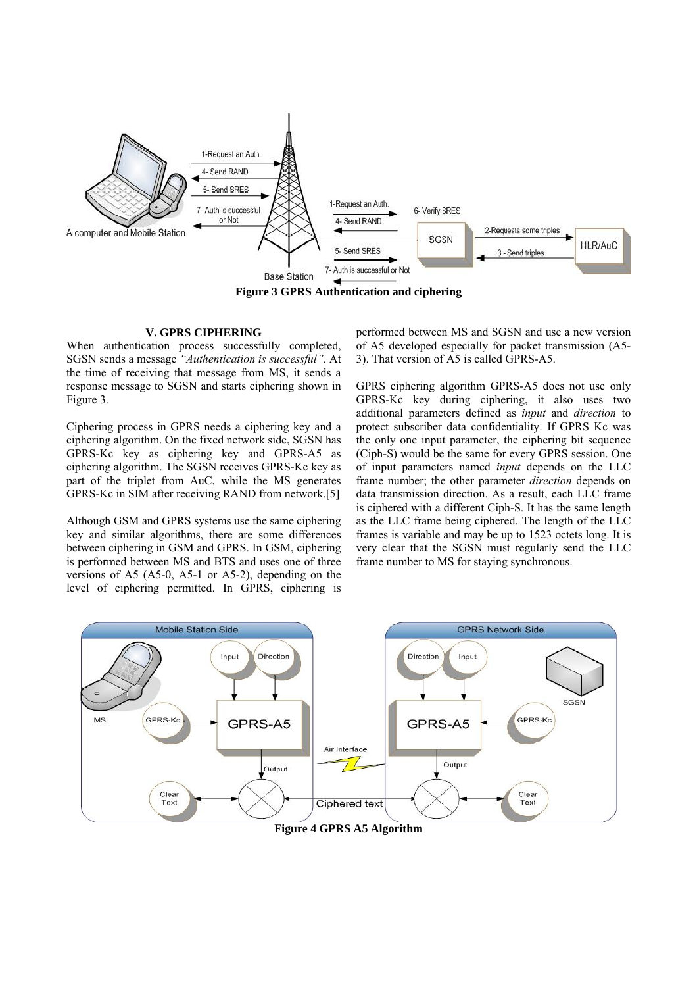

**Figure 3 GPRS Authentication and ciphering** 

### **V. GPRS CIPHERING**

When authentication process successfully completed, SGSN sends a message *"Authentication is successful".* At the time of receiving that message from MS, it sends a response message to SGSN and starts ciphering shown in Figure 3.

Ciphering process in GPRS needs a ciphering key and a ciphering algorithm. On the fixed network side, SGSN has GPRS-Kc key as ciphering key and GPRS-A5 as ciphering algorithm. The SGSN receives GPRS-Kc key as part of the triplet from AuC, while the MS generates GPRS-Kc in SIM after receiving RAND from network.[5]

Although GSM and GPRS systems use the same ciphering key and similar algorithms, there are some differences between ciphering in GSM and GPRS. In GSM, ciphering is performed between MS and BTS and uses one of three versions of A5 (A5-0, A5-1 or A5-2), depending on the level of ciphering permitted. In GPRS, ciphering is performed between MS and SGSN and use a new version of A5 developed especially for packet transmission (A5- 3). That version of A5 is called GPRS-A5.

GPRS ciphering algorithm GPRS-A5 does not use only GPRS-Kc key during ciphering, it also uses two additional parameters defined as *input* and *direction* to protect subscriber data confidentiality. If GPRS Kc was the only one input parameter, the ciphering bit sequence (Ciph-S) would be the same for every GPRS session. One of input parameters named *input* depends on the LLC frame number; the other parameter *direction* depends on data transmission direction. As a result, each LLC frame is ciphered with a different Ciph-S. It has the same length as the LLC frame being ciphered. The length of the LLC frames is variable and may be up to 1523 octets long. It is very clear that the SGSN must regularly send the LLC frame number to MS for staying synchronous.



**Figure 4 GPRS A5 Algorithm**